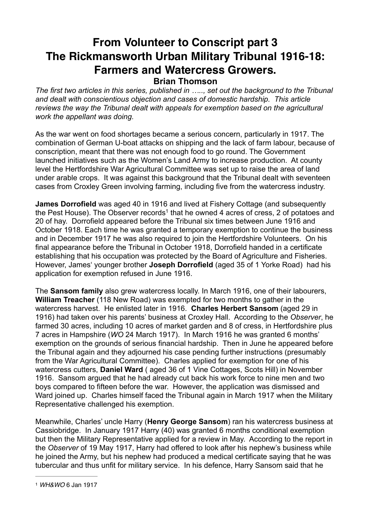## **From Volunteer to Conscript part 3 The Rickmansworth Urban Military Tribunal 1916-18: Farmers and Watercress Growers. Brian Thomson**

*The first two articles in this series, published in ….., set out the background to the Tribunal and dealt with conscientious objection and cases of domestic hardship. This article reviews the way the Tribunal dealt with appeals for exemption based on the agricultural work the appellant was doing.*

As the war went on food shortages became a serious concern, particularly in 1917. The combination of German U-boat attacks on shipping and the lack of farm labour, because of conscription, meant that there was not enough food to go round. The Government launched initiatives such as the Women's Land Army to increase production. At county level the Hertfordshire War Agricultural Committee was set up to raise the area of land under arable crops. It was against this background that the Tribunal dealt with seventeen cases from Croxley Green involving farming, including five from the watercress industry.

**James Dorrofield** was aged 40 in 1916 and lived at Fishery Cottage (and subsequently the Pest House). The Observer records<sup>1</sup> that he owned 4 acres of cress, 2 of potatoes and 20 of hay. Dorrofield appeared before the Tribunal six times between June 1916 and October 1918. Each time he was granted a temporary exemption to continue the business and in December 1917 he was also required to join the Hertfordshire Volunteers. On his final appearance before the Tribunal in October 1918, Dorrofield handed in a certificate establishing that his occupation was protected by the Board of Agriculture and Fisheries. However, James' younger brother **Joseph Dorrofield** (aged 35 of 1 Yorke Road) had his application for exemption refused in June 1916.

The **Sansom family** also grew watercress locally. In March 1916, one of their labourers, **William Treacher** (118 New Road) was exempted for two months to gather in the watercress harvest. He enlisted later in 1916. **Charles Herbert Sansom** (aged 29 in 1916) had taken over his parents' business at Croxley Hall. According to the *Observer*, he farmed 30 acres, including 10 acres of market garden and 8 of cress, in Hertfordshire plus 7 acres in Hampshire (*WO* 24 March 1917). In March 1916 he was granted 6 months' exemption on the grounds of serious financial hardship. Then in June he appeared before the Tribunal again and they adjourned his case pending further instructions (presumably from the War Agricultural Committee). Charles applied for exemption for one of his watercress cutters, **Daniel Ward** ( aged 36 of 1 Vine Cottages, Scots Hill) in November 1916. Sansom argued that he had already cut back his work force to nine men and two boys compared to fifteen before the war. However, the application was dismissed and Ward joined up. Charles himself faced the Tribunal again in March 1917 when the Military Representative challenged his exemption.

Meanwhile, Charles' uncle Harry (**Henry George Sansom**) ran his watercress business at Cassiobridge. In January 1917 Harry (40) was granted 6 months conditional exemption but then the Military Representative applied for a review in May. According to the report in the *Observer* of 19 May 1917, Harry had offered to look after his nephew's business while he joined the Army, but his nephew had produced a medical certificate saying that he was tubercular and thus unfit for military service. In his defence, Harry Sansom said that he

<sup>1</sup> *WH&WO* 6 Jan 1917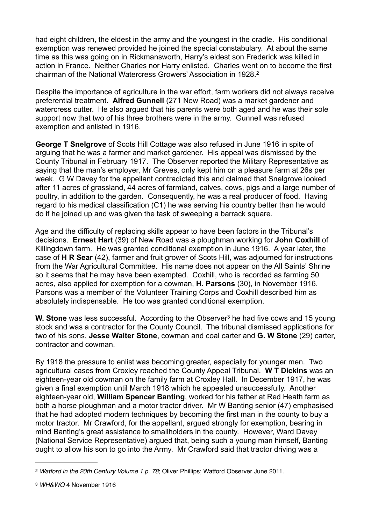had eight children, the eldest in the army and the youngest in the cradle. His conditional exemption was renewed provided he joined the special constabulary. At about the same time as this was going on in Rickmansworth, Harry's eldest son Frederick was killed in action in France. Neither Charles nor Harry enlisted. Charles went on to become the first chairman of the National Watercress Growers' Association in 1928.2

Despite the importance of agriculture in the war effort, farm workers did not always receive preferential treatment. **Alfred Gunnell** (271 New Road) was a market gardener and watercress cutter. He also argued that his parents were both aged and he was their sole support now that two of his three brothers were in the army. Gunnell was refused exemption and enlisted in 1916.

**George T Snelgrove** of Scots Hill Cottage was also refused in June 1916 in spite of arguing that he was a farmer and market gardener. His appeal was dismissed by the County Tribunal in February 1917. The Observer reported the Military Representative as saying that the man's employer, Mr Greves, only kept him on a pleasure farm at 26s per week. G W Davey for the appellant contradicted this and claimed that Snelgrove looked after 11 acres of grassland, 44 acres of farmland, calves, cows, pigs and a large number of poultry, in addition to the garden. Consequently, he was a real producer of food. Having regard to his medical classification (C1) he was serving his country better than he would do if he joined up and was given the task of sweeping a barrack square.

Age and the difficulty of replacing skills appear to have been factors in the Tribunal's decisions. **Ernest Hart** (39) of New Road was a ploughman working for **John Coxhill** of Killingdown farm. He was granted conditional exemption in June 1916. A year later, the case of **H R Sear** (42), farmer and fruit grower of Scots Hill, was adjourned for instructions from the War Agricultural Committee. His name does not appear on the All Saints' Shrine so it seems that he may have been exempted. Coxhill, who is recorded as farming 50 acres, also applied for exemption for a cowman, **H. Parsons** (30), in November 1916. Parsons was a member of the Volunteer Training Corps and Coxhill described him as absolutely indispensable. He too was granted conditional exemption.

**W. Stone** was less successful. According to the Observer<sup>3</sup> he had five cows and 15 young stock and was a contractor for the County Council. The tribunal dismissed applications for two of his sons, **Jesse Walter Stone**, cowman and coal carter and **G. W Stone** (29) carter, contractor and cowman.

By 1918 the pressure to enlist was becoming greater, especially for younger men. Two agricultural cases from Croxley reached the County Appeal Tribunal. **W T Dickins** was an eighteen-year old cowman on the family farm at Croxley Hall. In December 1917, he was given a final exemption until March 1918 which he appealed unsuccessfully. Another eighteen-year old, **William Spencer Banting**, worked for his father at Red Heath farm as both a horse ploughman and a motor tractor driver. Mr W Banting senior (47) emphasised that he had adopted modern techniques by becoming the first man in the county to buy a motor tractor. Mr Crawford, for the appellant, argued strongly for exemption, bearing in mind Banting's great assistance to smallholders in the county. However, Ward Davey (National Service Representative) argued that, being such a young man himself, Banting ought to allow his son to go into the Army. Mr Crawford said that tractor driving was a

<sup>&</sup>lt;sup>2</sup> Watford in the 20th Century Volume 1 p. 78; Oliver Phillips; Watford Observer June 2011.

<sup>3</sup> *WH&WO* 4 November 1916